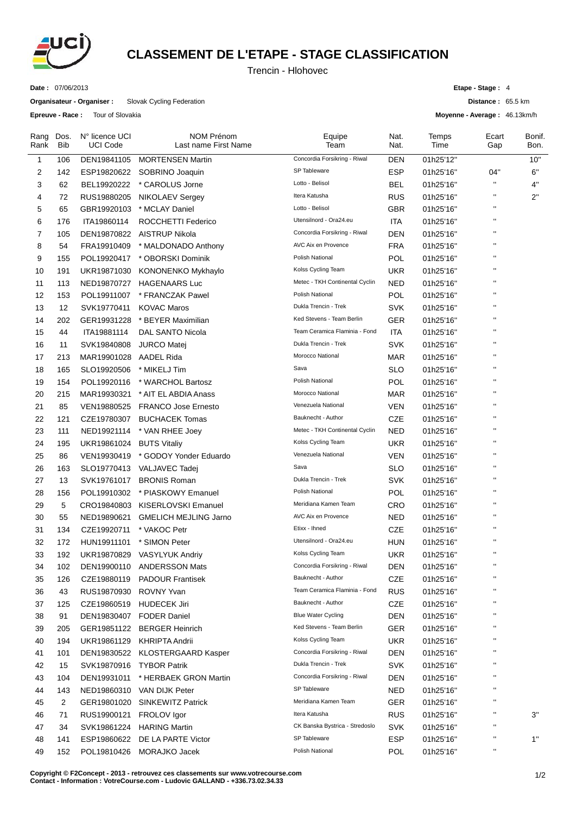

## **CLASSEMENT DE L'ETAPE - STAGE CLASSIFICATION**

Trencin - Hlohovec

**Date :** 07/06/2013

**Organisateur - Organiser :** Slovak Cycling Federation

**Epreuve - Race :** Tour of Slovakia

**Etape - Stage :** 4

**Distance :** 65.5 km

**Moyenne - Average :** 46.13km/h

| Rang<br>Rank | Dos.<br>Bib | N° licence UCI<br><b>UCI Code</b> | <b>NOM Prénom</b><br>Last name First Name | Equipe<br>Team                 | Nat.<br>Nat. | Temps<br>Time | Ecart<br>Gap       | Bonif.<br>Bon. |
|--------------|-------------|-----------------------------------|-------------------------------------------|--------------------------------|--------------|---------------|--------------------|----------------|
| $\mathbf{1}$ | 106         | DEN19841105                       | <b>MORTENSEN Martin</b>                   | Concordia Forsikring - Riwal   | DEN          | 01h25'12"     |                    | 10"            |
| 2            | 142         | ESP19820622                       | SOBRINO Joaquin                           | SP Tableware                   | ESP          | 01h25'16"     | 04"                | 6"             |
| 3            | 62          | BEL19920222                       | * CAROLUS Jorne                           | Lotto - Belisol                | BEL          | 01h25'16"     | $\mathbf{H}$       | 4"             |
| 4            | 72          | RUS19880205                       | <b>NIKOLAEV Sergey</b>                    | Itera Katusha                  | <b>RUS</b>   | 01h25'16"     | $\pmb{\mathsf{H}}$ | 2"             |
| 5            | 65          | GBR19920103                       | * MCLAY Daniel                            | Lotto - Belisol                | <b>GBR</b>   | 01h25'16"     | $\mathbf{H}$       |                |
| 6            | 176         | ITA19860114                       | ROCCHETTI Federico                        | Utensilnord - Ora24.eu         | <b>ITA</b>   | 01h25'16"     | $\mathbf{H}$       |                |
| 7            | 105         | DEN19870822                       | <b>AISTRUP Nikola</b>                     | Concordia Forsikring - Riwal   | <b>DEN</b>   | 01h25'16"     | $\mathbf{H}$       |                |
| 8            | 54          | FRA19910409                       | * MALDONADO Anthony                       | AVC Aix en Provence            | FRA          | 01h25'16"     | $\mathbf{H}$       |                |
| 9            | 155         | POL19920417                       | * OBORSKI Dominik                         | <b>Polish National</b>         | POL          | 01h25'16"     | $\mathbf{H}$       |                |
| 10           | 191         | UKR19871030                       | KONONENKO Mykhaylo                        | Kolss Cycling Team             | <b>UKR</b>   | 01h25'16"     | $\mathbf{H}$       |                |
| 11           | 113         | NED19870727                       | <b>HAGENAARS Luc</b>                      | Metec - TKH Continental Cyclin | NED          | 01h25'16"     | $\mathbf{H}$       |                |
| 12           | 153         | POL19911007                       | * FRANCZAK Pawel                          | Polish National                | POL          | 01h25'16"     | $\mathbf{H}$       |                |
| 13           | 12          | SVK19770411                       | <b>KOVAC Maros</b>                        | Dukla Trencin - Trek           | SVK          | 01h25'16"     | $\mathbf{H}$       |                |
| 14           | 202         | GER19931228                       | * BEYER Maximilian                        | Ked Stevens - Team Berlin      | GER          | 01h25'16"     | $\mathbf{H}$       |                |
| 15           | 44          | ITA19881114                       | <b>DAL SANTO Nicola</b>                   | Team Ceramica Flaminia - Fond  | ITA          | 01h25'16"     | $\mathbf{H}$       |                |
| 16           | 11          | SVK19840808                       | <b>JURCO Matei</b>                        | Dukla Trencin - Trek           | SVK          | 01h25'16"     | $\mathbf{H}$       |                |
| 17           | 213         | MAR19901028                       | <b>AADEL Rida</b>                         | Morocco National               | <b>MAR</b>   | 01h25'16"     | $\mathbf{H}$       |                |
| 18           | 165         | SLO19920506                       | * MIKELJ Tim                              | Sava                           | SLO          | 01h25'16"     | $\mathbf{H}$       |                |
| 19           | 154         | POL19920116                       | * WARCHOL Bartosz                         | Polish National                | <b>POL</b>   | 01h25'16"     | $\mathbf{H}$       |                |
| 20           | 215         | MAR19930321                       | * AIT EL ABDIA Anass                      | Morocco National               | MAR          | 01h25'16"     | $\mathbf{H}$       |                |
| 21           | 85          | VEN19880525                       | <b>FRANCO Jose Ernesto</b>                | Venezuela National             | VEN          | 01h25'16"     | $\mathbf{H}$       |                |
| 22           | 121         | CZE19780307                       | <b>BUCHACEK Tomas</b>                     | Bauknecht - Author             | <b>CZE</b>   | 01h25'16"     | $\mathbf{H}$       |                |
| 23           | 111         | NED19921114                       | * VAN RHEE Joey                           | Metec - TKH Continental Cyclin | <b>NED</b>   | 01h25'16"     | $\mathbf{H}$       |                |
| 24           | 195         | UKR19861024                       | <b>BUTS Vitaliy</b>                       | Kolss Cycling Team             | <b>UKR</b>   | 01h25'16"     | $\mathbf{H}$       |                |
| 25           | 86          | VEN19930419                       | * GODOY Yonder Eduardo                    | Venezuela National             | VEN          | 01h25'16"     | $\mathbf{H}$       |                |
| 26           | 163         | SLO19770413                       | VALJAVEC Tadej                            | Sava                           | <b>SLO</b>   | 01h25'16"     | $\mathbf{H}$       |                |
| 27           | 13          | SVK19761017                       | <b>BRONIS Roman</b>                       | Dukla Trencin - Trek           | <b>SVK</b>   | 01h25'16"     | $\mathbf{H}$       |                |
| 28           | 156         | POL19910302                       | * PIASKOWY Emanuel                        | Polish National                | POL          | 01h25'16"     | $\mathbf{H}$       |                |
| 29           | 5           |                                   | CRO19840803 KISERLOVSKI Emanuel           | Meridiana Kamen Team           | <b>CRO</b>   | 01h25'16"     | $\mathbf H$        |                |
| 30           | 55          | NED19890621                       | <b>GMELICH MEJLING Jarno</b>              | AVC Aix en Provence            | <b>NED</b>   | 01h25'16"     | $\mathbf{H}$       |                |
| 31           | 134         | CZE19920711                       | * VAKOC Petr                              | Etixx - Ihned                  | CZE          | 01h25'16"     | $\mathbf H$        |                |
| 32           | 172         | HUN19911101                       | * SIMON Peter                             | Utensilnord - Ora24.eu         | <b>HUN</b>   | 01h25'16"     | $\mathbf{H}$       |                |
| 33           | 192         |                                   | UKR19870829 VASYLYUK Andriy               | Kolss Cycling Team             | <b>UKR</b>   | 01h25'16"     | $\mathbf{H}$       |                |
| 34           | 102         |                                   | DEN19900110 ANDERSSON Mats                | Concordia Forsikring - Riwal   | <b>DEN</b>   | 01h25'16"     | $\pmb{\mathsf{H}}$ |                |
| 35           | 126         | CZE19880119                       | <b>PADOUR Frantisek</b>                   | Bauknecht - Author             | CZE          | 01h25'16"     | $\pmb{\mathsf{H}}$ |                |
| 36           | 43          | RUS19870930                       | ROVNY Yvan                                | Team Ceramica Flaminia - Fond  | <b>RUS</b>   | 01h25'16"     | $\mathbf{H}$       |                |
| 37           | 125         | CZE19860519                       | <b>HUDECEK Jiri</b>                       | Bauknecht - Author             | CZE          | 01h25'16"     | $\mathbf H$        |                |
| 38           | 91          |                                   | DEN19830407 FODER Daniel                  | <b>Blue Water Cycling</b>      | <b>DEN</b>   | 01h25'16"     | $\mathbf{H}$       |                |
| 39           | 205         | GER19851122                       | <b>BERGER Heinrich</b>                    | Ked Stevens - Team Berlin      | <b>GER</b>   | 01h25'16"     | $\mathbf H$        |                |
| 40           | 194         | UKR19861129                       | KHRIPTA Andrii                            | Kolss Cycling Team             | <b>UKR</b>   | 01h25'16"     | $\mathbf H$        |                |
| 41           | 101         | DEN19830522                       | KLOSTERGAARD Kasper                       | Concordia Forsikring - Riwal   | <b>DEN</b>   | 01h25'16"     | $\mathbf H$        |                |
| 42           | 15          | SVK19870916                       | <b>TYBOR Patrik</b>                       | Dukla Trencin - Trek           | <b>SVK</b>   | 01h25'16"     | $\mathbf H$        |                |
| 43           | 104         | DEN19931011                       | * HERBAEK GRON Martin                     | Concordia Forsikring - Riwal   | <b>DEN</b>   | 01h25'16"     | $\mathbf H$        |                |
| 44           | 143         |                                   | NED19860310 VAN DIJK Peter                | SP Tableware                   | <b>NED</b>   | 01h25'16"     | $\mathbf{H}$       |                |
| 45           | 2           |                                   | GER19801020 SINKEWITZ Patrick             | Meridiana Kamen Team           | <b>GER</b>   | 01h25'16"     | $\mathbf H$        |                |
| 46           | 71          | RUS19900121                       | FROLOV Igor                               | Itera Katusha                  | <b>RUS</b>   | 01h25'16"     | $\mathbf{H}$       | 3"             |
| 47           | 34          | SVK19861224                       | <b>HARING Martin</b>                      | CK Banska Bystrica - Stredoslo | <b>SVK</b>   | 01h25'16"     | $\mathbf{H}$       |                |
| 48           | 141         | ESP19860622                       | DE LA PARTE Victor                        | SP Tableware                   | <b>ESP</b>   | 01h25'16"     | $\mathbf{H}$       | $1"$           |
| 49           | 152         | POL19810426                       | MORAJKO Jacek                             | Polish National                | POL          | 01h25'16"     | $\mathbf{H}$       |                |